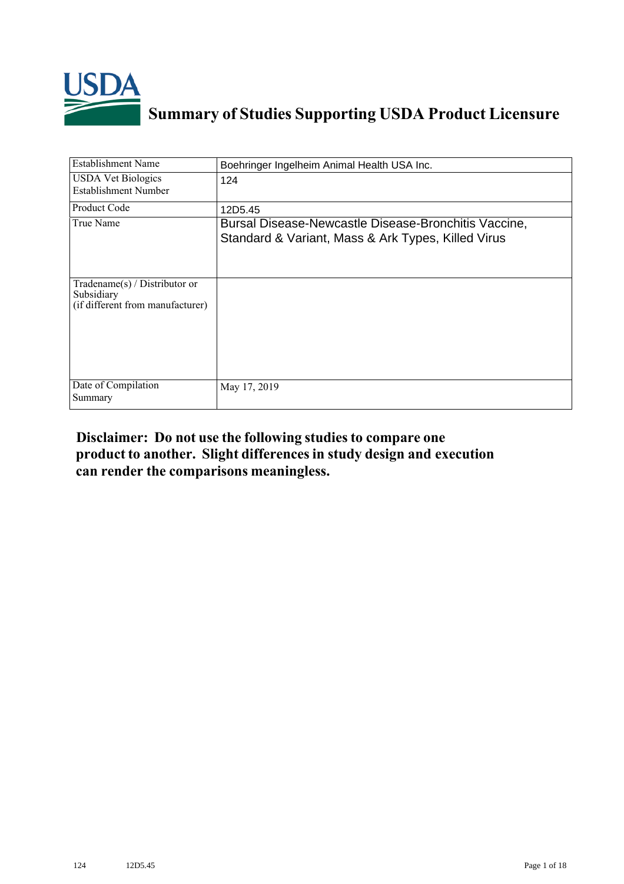

# **Summary of Studies Supporting USDA Product Licensure**

| Establishment Name                                                                 | Boehringer Ingelheim Animal Health USA Inc.                                                                |
|------------------------------------------------------------------------------------|------------------------------------------------------------------------------------------------------------|
| <b>USDA Vet Biologics</b><br>Establishment Number                                  | 124                                                                                                        |
| <b>Product Code</b>                                                                | 12D5.45                                                                                                    |
| True Name                                                                          | Bursal Disease-Newcastle Disease-Bronchitis Vaccine,<br>Standard & Variant, Mass & Ark Types, Killed Virus |
| Tradename $(s)$ / Distributor or<br>Subsidiary<br>(if different from manufacturer) |                                                                                                            |
| Date of Compilation<br>Summary                                                     | May 17, 2019                                                                                               |

# **Disclaimer: Do not use the following studiesto compare one product to another. Slight differencesin study design and execution can render the comparisons meaningless.**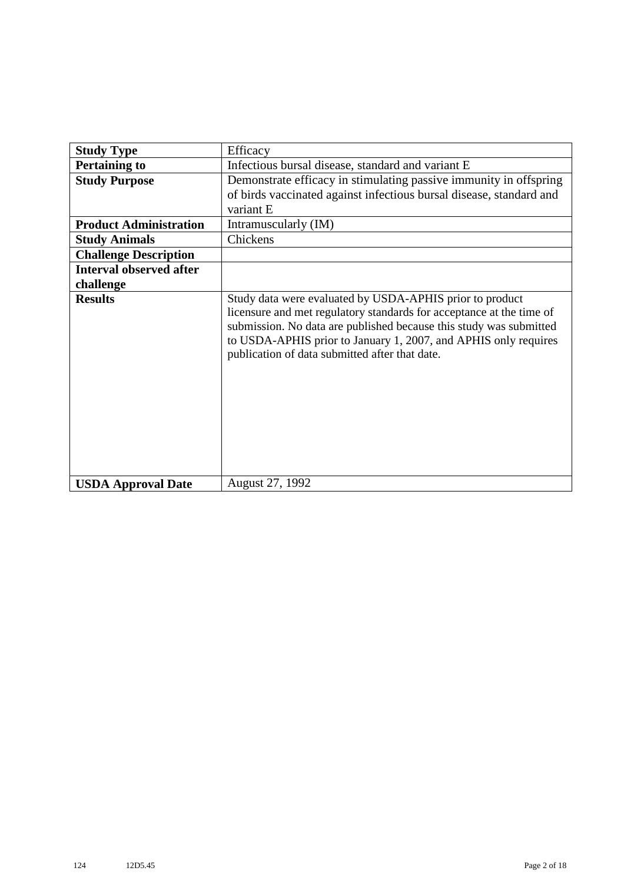| <b>Study Type</b>              | Efficacy                                                                                                                                                                                                                                                                                                                    |
|--------------------------------|-----------------------------------------------------------------------------------------------------------------------------------------------------------------------------------------------------------------------------------------------------------------------------------------------------------------------------|
| <b>Pertaining to</b>           | Infectious bursal disease, standard and variant E                                                                                                                                                                                                                                                                           |
| <b>Study Purpose</b>           | Demonstrate efficacy in stimulating passive immunity in offspring                                                                                                                                                                                                                                                           |
|                                | of birds vaccinated against infectious bursal disease, standard and                                                                                                                                                                                                                                                         |
|                                | variant E                                                                                                                                                                                                                                                                                                                   |
| <b>Product Administration</b>  | Intramuscularly (IM)                                                                                                                                                                                                                                                                                                        |
| <b>Study Animals</b>           | Chickens                                                                                                                                                                                                                                                                                                                    |
| <b>Challenge Description</b>   |                                                                                                                                                                                                                                                                                                                             |
| <b>Interval observed after</b> |                                                                                                                                                                                                                                                                                                                             |
| challenge                      |                                                                                                                                                                                                                                                                                                                             |
| <b>Results</b>                 | Study data were evaluated by USDA-APHIS prior to product<br>licensure and met regulatory standards for acceptance at the time of<br>submission. No data are published because this study was submitted<br>to USDA-APHIS prior to January 1, 2007, and APHIS only requires<br>publication of data submitted after that date. |
| <b>USDA Approval Date</b>      | August 27, 1992                                                                                                                                                                                                                                                                                                             |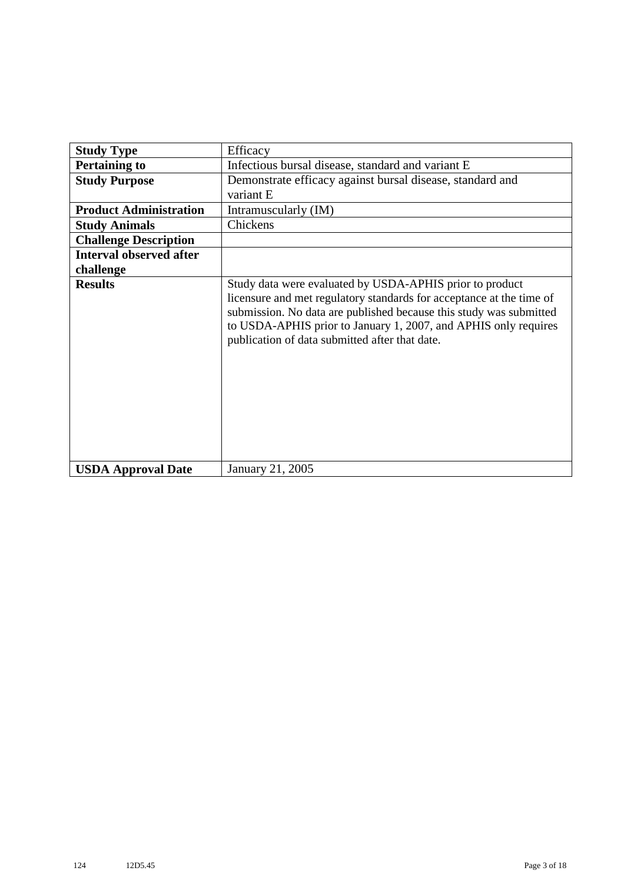| <b>Study Type</b>              | Efficacy                                                                                                                                                                                                                                                                                                                    |
|--------------------------------|-----------------------------------------------------------------------------------------------------------------------------------------------------------------------------------------------------------------------------------------------------------------------------------------------------------------------------|
| <b>Pertaining to</b>           | Infectious bursal disease, standard and variant E                                                                                                                                                                                                                                                                           |
| <b>Study Purpose</b>           | Demonstrate efficacy against bursal disease, standard and                                                                                                                                                                                                                                                                   |
|                                | variant E                                                                                                                                                                                                                                                                                                                   |
| <b>Product Administration</b>  | Intramuscularly (IM)                                                                                                                                                                                                                                                                                                        |
| <b>Study Animals</b>           | Chickens                                                                                                                                                                                                                                                                                                                    |
| <b>Challenge Description</b>   |                                                                                                                                                                                                                                                                                                                             |
| <b>Interval observed after</b> |                                                                                                                                                                                                                                                                                                                             |
| challenge                      |                                                                                                                                                                                                                                                                                                                             |
| <b>Results</b>                 | Study data were evaluated by USDA-APHIS prior to product<br>licensure and met regulatory standards for acceptance at the time of<br>submission. No data are published because this study was submitted<br>to USDA-APHIS prior to January 1, 2007, and APHIS only requires<br>publication of data submitted after that date. |
| <b>USDA Approval Date</b>      | January 21, 2005                                                                                                                                                                                                                                                                                                            |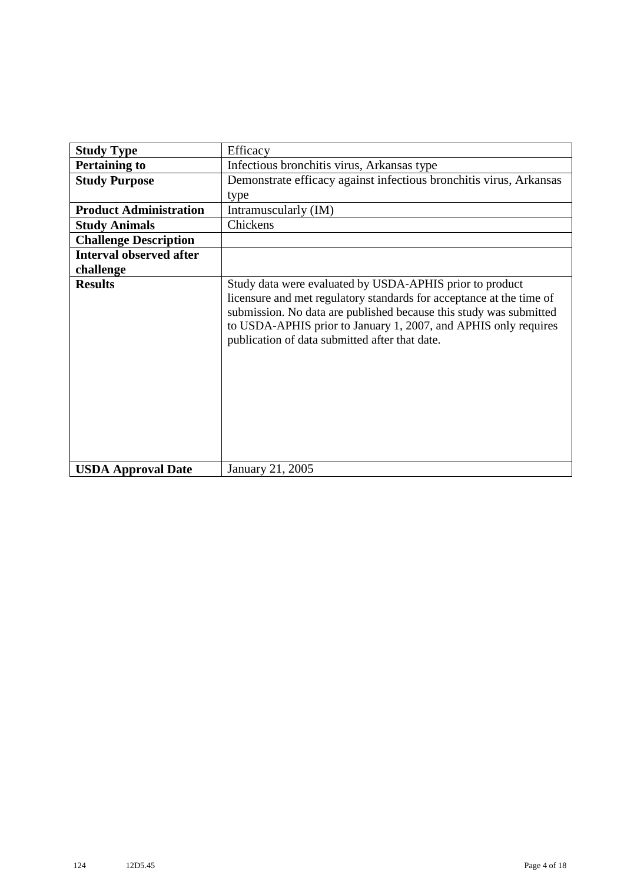| <b>Study Type</b>              | Efficacy                                                                                                                                                                                                                                                                                                                    |
|--------------------------------|-----------------------------------------------------------------------------------------------------------------------------------------------------------------------------------------------------------------------------------------------------------------------------------------------------------------------------|
| <b>Pertaining to</b>           | Infectious bronchitis virus, Arkansas type                                                                                                                                                                                                                                                                                  |
| <b>Study Purpose</b>           | Demonstrate efficacy against infectious bronchitis virus, Arkansas                                                                                                                                                                                                                                                          |
|                                | type                                                                                                                                                                                                                                                                                                                        |
| <b>Product Administration</b>  | Intramuscularly (IM)                                                                                                                                                                                                                                                                                                        |
| <b>Study Animals</b>           | Chickens                                                                                                                                                                                                                                                                                                                    |
| <b>Challenge Description</b>   |                                                                                                                                                                                                                                                                                                                             |
| <b>Interval observed after</b> |                                                                                                                                                                                                                                                                                                                             |
| challenge                      |                                                                                                                                                                                                                                                                                                                             |
| <b>Results</b>                 | Study data were evaluated by USDA-APHIS prior to product<br>licensure and met regulatory standards for acceptance at the time of<br>submission. No data are published because this study was submitted<br>to USDA-APHIS prior to January 1, 2007, and APHIS only requires<br>publication of data submitted after that date. |
| <b>USDA Approval Date</b>      | January 21, 2005                                                                                                                                                                                                                                                                                                            |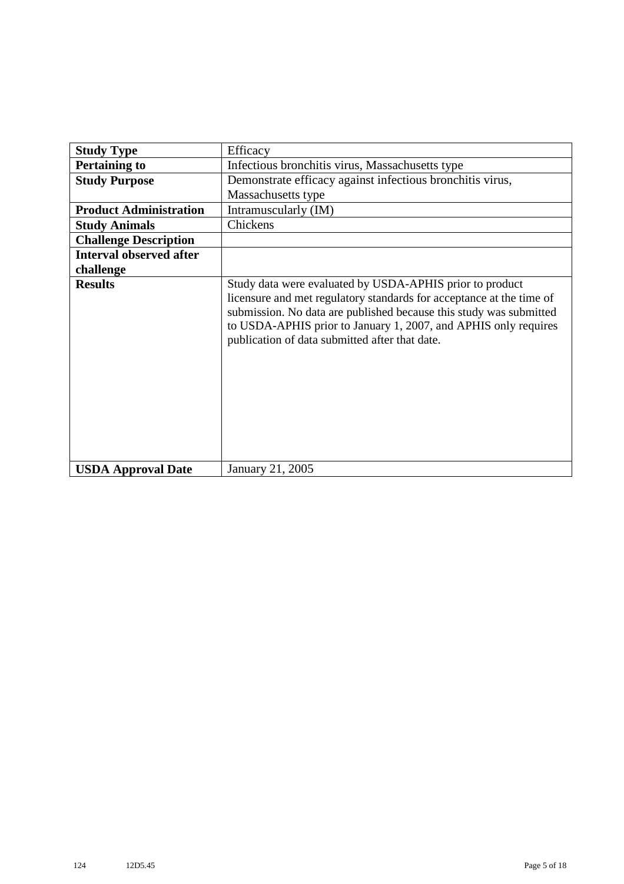| <b>Study Type</b>              | Efficacy                                                                                                                                                                                                                                                                                                                    |
|--------------------------------|-----------------------------------------------------------------------------------------------------------------------------------------------------------------------------------------------------------------------------------------------------------------------------------------------------------------------------|
| <b>Pertaining to</b>           | Infectious bronchitis virus, Massachusetts type                                                                                                                                                                                                                                                                             |
| <b>Study Purpose</b>           | Demonstrate efficacy against infectious bronchitis virus,                                                                                                                                                                                                                                                                   |
|                                | Massachusetts type                                                                                                                                                                                                                                                                                                          |
| <b>Product Administration</b>  | Intramuscularly (IM)                                                                                                                                                                                                                                                                                                        |
| <b>Study Animals</b>           | Chickens                                                                                                                                                                                                                                                                                                                    |
| <b>Challenge Description</b>   |                                                                                                                                                                                                                                                                                                                             |
| <b>Interval observed after</b> |                                                                                                                                                                                                                                                                                                                             |
| challenge                      |                                                                                                                                                                                                                                                                                                                             |
| <b>Results</b>                 | Study data were evaluated by USDA-APHIS prior to product<br>licensure and met regulatory standards for acceptance at the time of<br>submission. No data are published because this study was submitted<br>to USDA-APHIS prior to January 1, 2007, and APHIS only requires<br>publication of data submitted after that date. |
| <b>USDA Approval Date</b>      | January 21, 2005                                                                                                                                                                                                                                                                                                            |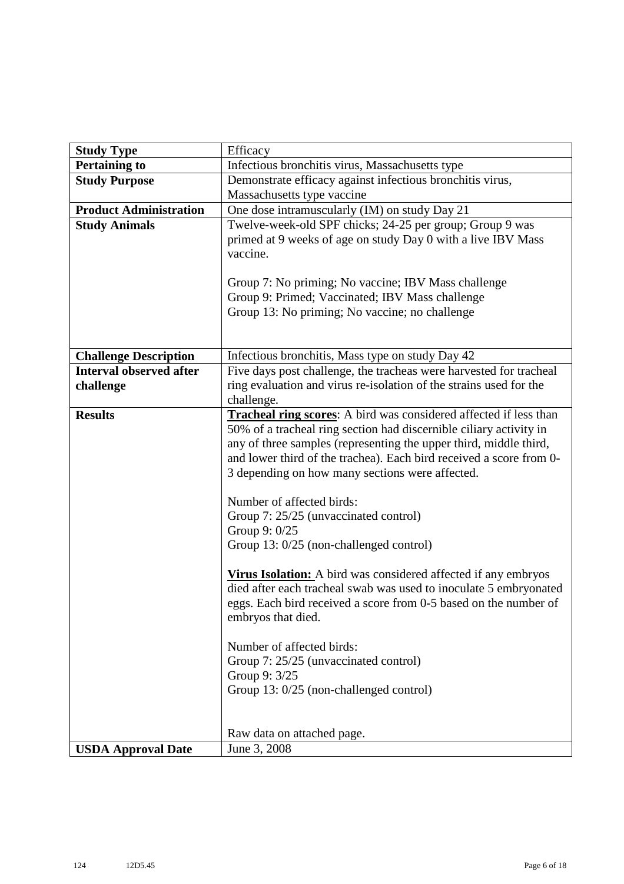| <b>Study Type</b>              | Efficacy                                                                                                                                                                                                                                                                                                                                                                                                                                                                                                                                                                                                                                                                                                                                                                                                                                                                         |
|--------------------------------|----------------------------------------------------------------------------------------------------------------------------------------------------------------------------------------------------------------------------------------------------------------------------------------------------------------------------------------------------------------------------------------------------------------------------------------------------------------------------------------------------------------------------------------------------------------------------------------------------------------------------------------------------------------------------------------------------------------------------------------------------------------------------------------------------------------------------------------------------------------------------------|
| <b>Pertaining to</b>           | Infectious bronchitis virus, Massachusetts type                                                                                                                                                                                                                                                                                                                                                                                                                                                                                                                                                                                                                                                                                                                                                                                                                                  |
| <b>Study Purpose</b>           | Demonstrate efficacy against infectious bronchitis virus,                                                                                                                                                                                                                                                                                                                                                                                                                                                                                                                                                                                                                                                                                                                                                                                                                        |
|                                | Massachusetts type vaccine                                                                                                                                                                                                                                                                                                                                                                                                                                                                                                                                                                                                                                                                                                                                                                                                                                                       |
| <b>Product Administration</b>  | One dose intramuscularly (IM) on study Day 21                                                                                                                                                                                                                                                                                                                                                                                                                                                                                                                                                                                                                                                                                                                                                                                                                                    |
| <b>Study Animals</b>           | Twelve-week-old SPF chicks; 24-25 per group; Group 9 was<br>primed at 9 weeks of age on study Day 0 with a live IBV Mass<br>vaccine.                                                                                                                                                                                                                                                                                                                                                                                                                                                                                                                                                                                                                                                                                                                                             |
|                                | Group 7: No priming; No vaccine; IBV Mass challenge<br>Group 9: Primed; Vaccinated; IBV Mass challenge<br>Group 13: No priming; No vaccine; no challenge                                                                                                                                                                                                                                                                                                                                                                                                                                                                                                                                                                                                                                                                                                                         |
| <b>Challenge Description</b>   | Infectious bronchitis, Mass type on study Day 42                                                                                                                                                                                                                                                                                                                                                                                                                                                                                                                                                                                                                                                                                                                                                                                                                                 |
| <b>Interval observed after</b> | Five days post challenge, the tracheas were harvested for tracheal                                                                                                                                                                                                                                                                                                                                                                                                                                                                                                                                                                                                                                                                                                                                                                                                               |
| challenge                      | ring evaluation and virus re-isolation of the strains used for the<br>challenge.                                                                                                                                                                                                                                                                                                                                                                                                                                                                                                                                                                                                                                                                                                                                                                                                 |
| <b>Results</b>                 | <b>Tracheal ring scores:</b> A bird was considered affected if less than<br>50% of a tracheal ring section had discernible ciliary activity in<br>any of three samples (representing the upper third, middle third,<br>and lower third of the trachea). Each bird received a score from 0-<br>3 depending on how many sections were affected.<br>Number of affected birds:<br>Group 7: 25/25 (unvaccinated control)<br>Group 9: 0/25<br>Group 13: 0/25 (non-challenged control)<br>Virus Isolation: A bird was considered affected if any embryos<br>died after each tracheal swab was used to inoculate 5 embryonated<br>eggs. Each bird received a score from 0-5 based on the number of<br>embryos that died.<br>Number of affected birds:<br>Group 7: 25/25 (unvaccinated control)<br>Group 9: 3/25<br>Group 13: 0/25 (non-challenged control)<br>Raw data on attached page. |
|                                | June 3, 2008                                                                                                                                                                                                                                                                                                                                                                                                                                                                                                                                                                                                                                                                                                                                                                                                                                                                     |
| <b>USDA Approval Date</b>      |                                                                                                                                                                                                                                                                                                                                                                                                                                                                                                                                                                                                                                                                                                                                                                                                                                                                                  |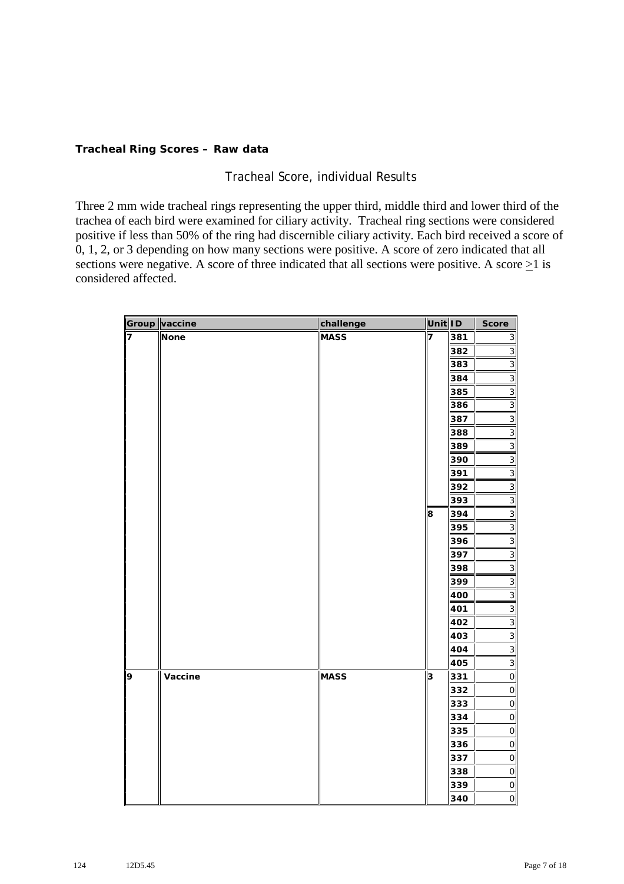## **Tracheal Ring Scores – Raw data**

# Tracheal Score, individual Results

Three 2 mm wide tracheal rings representing the upper third, middle third and lower third of the trachea of each bird were examined for ciliary activity. Tracheal ring sections were considered positive if less than 50% of the ring had discernible ciliary activity. Each bird received a score of 0, 1, 2, or 3 depending on how many sections were positive. A score of zero indicated that all sections were negative. A score of three indicated that all sections were positive. A score  $\geq 1$  is considered affected.

|                         | Group vaccine | challenge   | Unit ID |     | <b>Score</b>   |
|-------------------------|---------------|-------------|---------|-----|----------------|
| $\overline{\mathbf{z}}$ | <b>None</b>   | <b>MASS</b> | 7       | 381 | $\mathsf 3$    |
|                         |               |             |         | 382 | $\mathsf 3$    |
|                         |               |             |         | 383 | $\mathsf 3$    |
|                         |               |             |         | 384 | 3              |
|                         |               |             |         | 385 | 3              |
|                         |               |             |         | 386 | 3              |
|                         |               |             |         | 387 | 3              |
|                         |               |             |         | 388 | 3              |
|                         |               |             |         | 389 | 3              |
|                         |               |             |         | 390 | 3              |
|                         |               |             |         | 391 | 3              |
|                         |               |             |         | 392 | 3              |
|                         |               |             |         | 393 | 3              |
|                         |               |             | 8       | 394 | 3              |
|                         |               |             |         | 395 | 3              |
|                         |               |             |         | 396 | $\mathsf 3$    |
|                         |               |             |         | 397 | $\overline{3}$ |
|                         |               |             |         | 398 | $\mathsf 3$    |
|                         |               |             |         | 399 | $\mathsf 3$    |
|                         |               |             |         | 400 | 3              |
|                         |               |             |         | 401 | 3              |
|                         |               |             |         | 402 | 3              |
|                         |               |             |         | 403 | 3              |
|                         |               |             |         | 404 | 3              |
|                         |               |             |         | 405 | 3              |
| 9                       | Vaccine       | <b>MASS</b> | 3       | 331 | $\mathsf O$    |
|                         |               |             |         | 332 | $\mathsf O$    |
|                         |               |             |         | 333 | $\mathsf O$    |
|                         |               |             |         | 334 | $\mathsf O$    |
|                         |               |             |         | 335 | $\mathbf 0$    |
|                         |               |             |         | 336 | $\mathsf{O}$   |
|                         |               |             |         | 337 | $\mathsf{O}$   |
|                         |               |             |         | 338 | $\mathsf O$    |
|                         |               |             |         | 339 | $\mathsf O$    |
|                         |               |             |         | 340 | $\hbox{O}\,\,$ |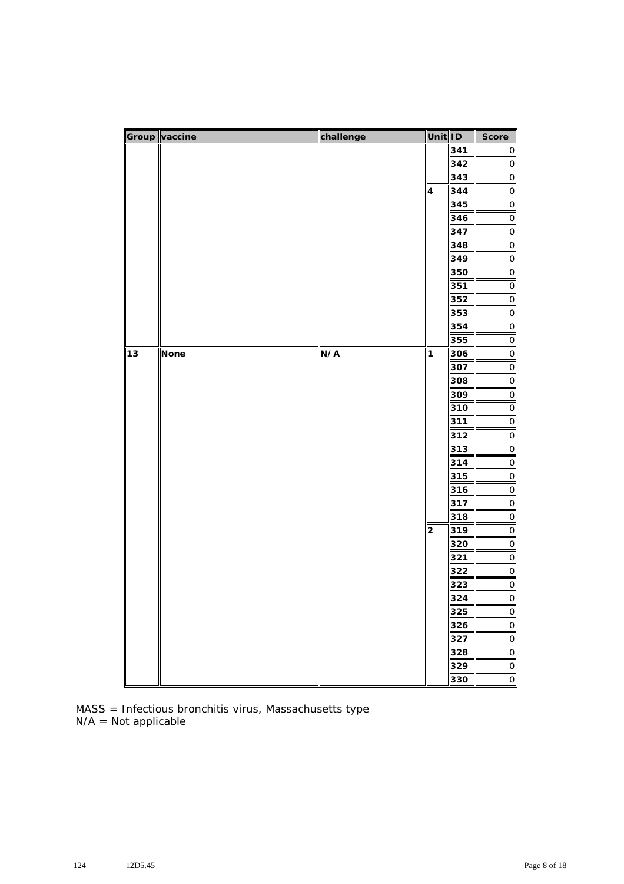|    | Group vaccine | challenge          | Unit ID |            | Score                                 |
|----|---------------|--------------------|---------|------------|---------------------------------------|
|    |               |                    |         | 341        | $\mathsf{O}\vert$                     |
|    |               |                    |         | 342        | $\mathsf{O}\!\!\!\rule{0.3mm}{1.5mm}$ |
|    |               |                    |         | 343        | $\hbox{O}\,$                          |
|    |               |                    | 4       | 344        | $\circ$                               |
|    |               |                    |         | 345        | $\circ$                               |
|    |               |                    |         | 346        | $\circ$                               |
|    |               |                    |         | 347        | $\circ$                               |
|    |               |                    |         | 348        | $\circ$                               |
|    |               |                    |         | 349        | $\overline{O}$                        |
|    |               |                    |         | 350        | $\mathsf{O}$                          |
|    |               |                    |         | 351        | $\overline{O}$                        |
|    |               |                    |         | 352        | $\circ$                               |
|    |               |                    |         | 353        | $\circ$                               |
|    |               |                    |         | 354        | $\circ$                               |
|    |               |                    |         | 355        | $\circ$                               |
| 13 | <b>None</b>   | N/A<br>$\mathbf 1$ |         | 306        | $\circ$                               |
|    |               |                    |         | 307        | $\overline{O}$                        |
|    |               |                    |         | 308        | $\circ$                               |
|    |               |                    |         | 309        | $\circ$                               |
|    |               |                    |         | 310        | $\circ$                               |
|    |               |                    |         | 311        | $\circ$                               |
|    |               |                    |         | 312        | $\overline{O}$                        |
|    |               |                    |         | 313        | $\mathsf{O}$                          |
|    |               |                    |         | 314        | $\circ$                               |
|    |               |                    |         | 315        | $\circ$                               |
|    |               |                    |         | 316        | $\circ$                               |
|    |               |                    |         | 317        | $\circ$                               |
|    |               |                    |         | 318        | $\circ$                               |
|    |               |                    | 2       | 319        | $\circ$                               |
|    |               |                    |         | 320<br>321 | $\circ$<br>$\circ$                    |
|    |               |                    |         | 322        | $\circ$                               |
|    |               |                    |         | 323        | $\circ$                               |
|    |               |                    |         | 324        |                                       |
|    |               |                    |         | 325        | $\overline{0}$<br>$\circ$             |
|    |               |                    |         | 326        | $\mathsf{O}\xspace$                   |
|    |               |                    |         | 327        | $\circ$                               |
|    |               |                    |         | 328        | $\circ$                               |
|    |               |                    |         | 329        | $\circ$                               |
|    |               |                    |         | 330        | $\circ$                               |
|    |               |                    |         |            |                                       |

MASS = Infectious bronchitis virus, Massachusetts type N/A = Not applicable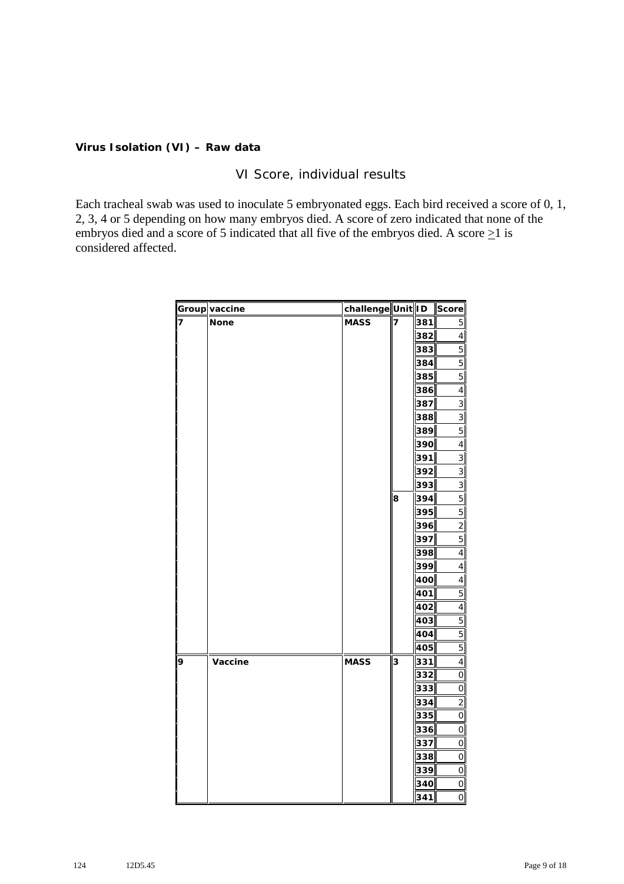## **Virus Isolation (VI) – Raw data**

# VI Score, individual results

Each tracheal swab was used to inoculate 5 embryonated eggs. Each bird received a score of 0, 1, 2, 3, 4 or 5 depending on how many embryos died. A score of zero indicated that none of the embryos died and a score of 5 indicated that all five of the embryos died. A score  $\geq$ 1 is considered affected.

|   | Group vaccine | challenge Unit ID |   |     | Score                    |
|---|---------------|-------------------|---|-----|--------------------------|
| 7 | <b>None</b>   | <b>MASS</b>       | 7 | 381 | 5                        |
|   |               |                   |   | 382 | 4                        |
|   |               |                   |   | 383 | 5                        |
|   |               |                   |   | 384 | 5                        |
|   |               |                   |   | 385 | 5                        |
|   |               |                   |   | 386 | 4                        |
|   |               |                   |   | 387 | 3                        |
|   |               |                   |   | 388 | 3                        |
|   |               |                   |   | 389 | 5                        |
|   |               |                   |   | 390 | 4                        |
|   |               |                   |   | 391 | $\sqrt{3}$               |
|   |               |                   |   | 392 | 3                        |
|   |               |                   |   | 393 | 3                        |
|   |               |                   | 8 | 394 | 5                        |
|   |               |                   |   | 395 | 5                        |
|   |               |                   |   | 396 | $\overline{c}$           |
|   |               |                   |   | 397 | 5                        |
|   |               |                   |   | 398 | 4                        |
|   |               |                   |   | 399 | $\overline{\mathbf{r}}$  |
|   |               |                   |   | 400 | $\overline{\mathcal{L}}$ |
|   |               |                   |   | 401 | 5                        |
|   |               |                   |   | 402 | 4                        |
|   |               |                   |   | 403 | 5                        |
|   |               |                   |   | 404 | 5                        |
|   |               |                   |   | 405 | 5                        |
| 9 | Vaccine       | <b>MASS</b>       | 3 | 331 | 4                        |
|   |               |                   |   | 332 | $\circ$                  |
|   |               |                   |   | 333 | $\circ$                  |
|   |               |                   |   | 334 | 2                        |
|   |               |                   |   | 335 | $\mathbf 0$              |
|   |               |                   |   | 336 | $\mathbf 0$              |
|   |               |                   |   | 337 | $\circ$                  |
|   |               |                   |   | 338 | $\circ$                  |
|   |               |                   |   | 339 | $\mathsf O$              |
|   |               |                   |   | 340 | $\circ$                  |
|   |               |                   |   | 341 | $\circ$                  |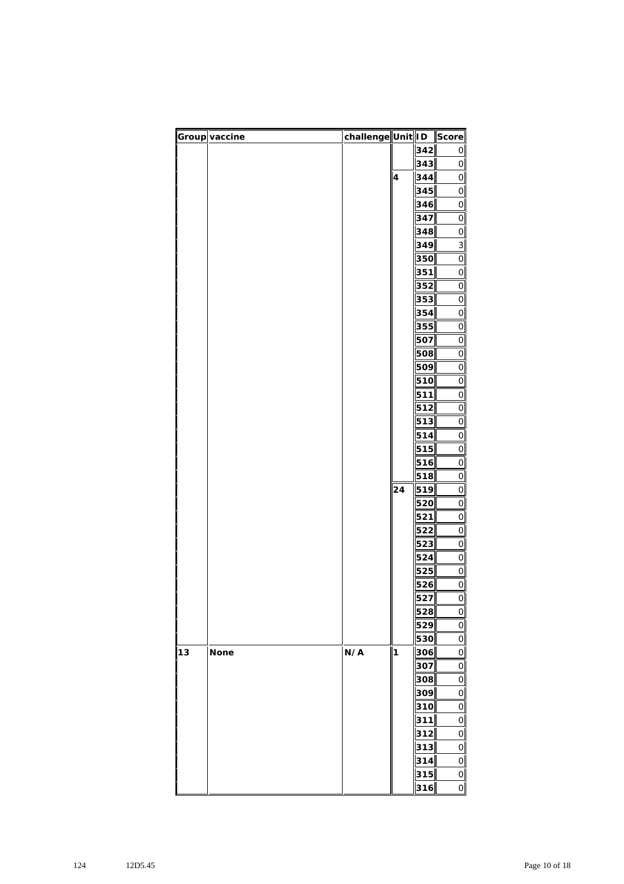|    | Group vaccine | challenge Unit ID |                         |            | Score                      |
|----|---------------|-------------------|-------------------------|------------|----------------------------|
|    |               |                   |                         | 342        | 0                          |
|    |               |                   |                         | 343        | $\mathsf O$                |
|    |               |                   | $\overline{\mathbf{4}}$ | 344        | $\mathsf O$                |
|    |               |                   |                         | 345        | $\mathsf O$                |
|    |               |                   |                         | 346        | $\mathsf O$                |
|    |               |                   |                         | 347        | $\mathbf 0$                |
|    |               |                   |                         | 348        | $\mathsf O$                |
|    |               |                   |                         | 349        | 3                          |
|    |               |                   |                         | 350        | $\mathsf O$                |
|    |               |                   |                         | 351        | $\mathsf O$                |
|    |               |                   |                         | 352        | $\mathsf O$                |
|    |               |                   |                         | 353        | $\mathsf O$                |
|    |               |                   |                         | 354        | $\circ$                    |
|    |               |                   |                         | 355        | $\mathsf O$                |
|    |               |                   |                         | 507        | $\mathsf O$                |
|    |               |                   |                         | 508        | $\mathsf O$                |
|    |               |                   |                         | 509        | $\mathsf O$                |
|    |               |                   |                         | 510        | $\mathsf O$                |
|    |               |                   |                         | 511        | $\mathsf O$                |
|    |               |                   |                         | 512        | $\mathsf O$                |
|    |               |                   |                         | 513        | $\mathsf O$                |
|    |               |                   |                         | 514        | $\mathsf O$                |
|    |               |                   |                         | 515        | $\mathsf O$                |
|    |               |                   |                         | 516        | $\mathsf O$                |
|    |               |                   |                         | 518        | $\circ$                    |
|    |               |                   | 24                      | 519        | $\mathsf{O}$               |
|    |               |                   |                         | 520        | $\mathbf 0$                |
|    |               |                   |                         | 521        | $\circ$                    |
|    |               |                   |                         | 522        | $\mathsf O$                |
|    |               |                   |                         | 523        | $\mathsf O$                |
|    |               |                   |                         | 524        | $\mathbf 0$                |
|    |               |                   |                         | 525        | $\mathsf O$                |
|    |               |                   |                         | 526        | $\mathsf{O}$               |
|    |               |                   |                         | 527        | $\overline{O}$             |
|    |               |                   |                         | 528        | $\mathsf O$                |
|    |               |                   |                         | 529        | $\mathsf O$                |
|    |               |                   |                         | 530        | $\mathsf O$                |
| 13 | <b>None</b>   | N/A               | 1                       | 306        | $\mathsf O$                |
|    |               |                   |                         | 307        | $\circ$                    |
|    |               |                   |                         | 308        | $\mathsf O$                |
|    |               |                   |                         | 309        | $\mathsf O$                |
|    |               |                   |                         | 310        | $\circ$                    |
|    |               |                   |                         | 311<br>312 | $\mathsf O$<br>$\mathsf O$ |
|    |               |                   |                         |            |                            |
|    |               |                   |                         | 313        | $\mathsf O$                |
|    |               |                   |                         | 314<br>315 | $\mathsf{O}$               |
|    |               |                   |                         | 316        | $\mathsf O$<br>$\circ$     |
|    |               |                   |                         |            |                            |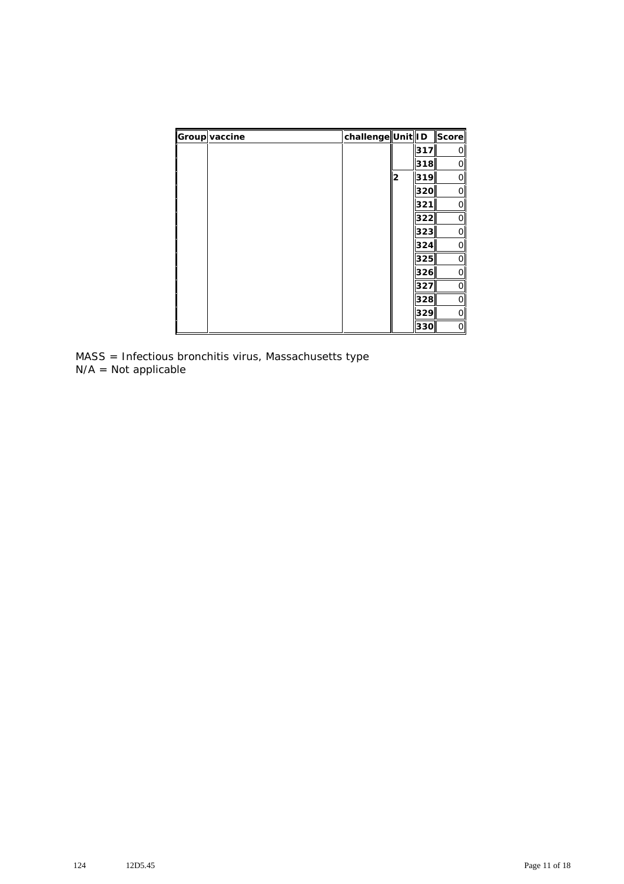| Group vaccine | challenge  Unit  ID   Score |   |     |              |
|---------------|-----------------------------|---|-----|--------------|
|               |                             |   | 317 | O            |
|               |                             |   | 318 | 0            |
|               |                             | 2 | 319 | 0            |
|               |                             |   | 320 | 0            |
|               |                             |   | 321 | 0            |
|               |                             |   | 322 | 0            |
|               |                             |   | 323 | $\mathsf{O}$ |
|               |                             |   | 324 | O            |
|               |                             |   | 325 | $\mathsf{O}$ |
|               |                             |   | 326 | O            |
|               |                             |   | 327 | 0            |
|               |                             |   | 328 | 0            |
|               |                             |   | 329 | 0            |
|               |                             |   | 330 | 0            |

MASS = Infectious bronchitis virus, Massachusetts type N/A = Not applicable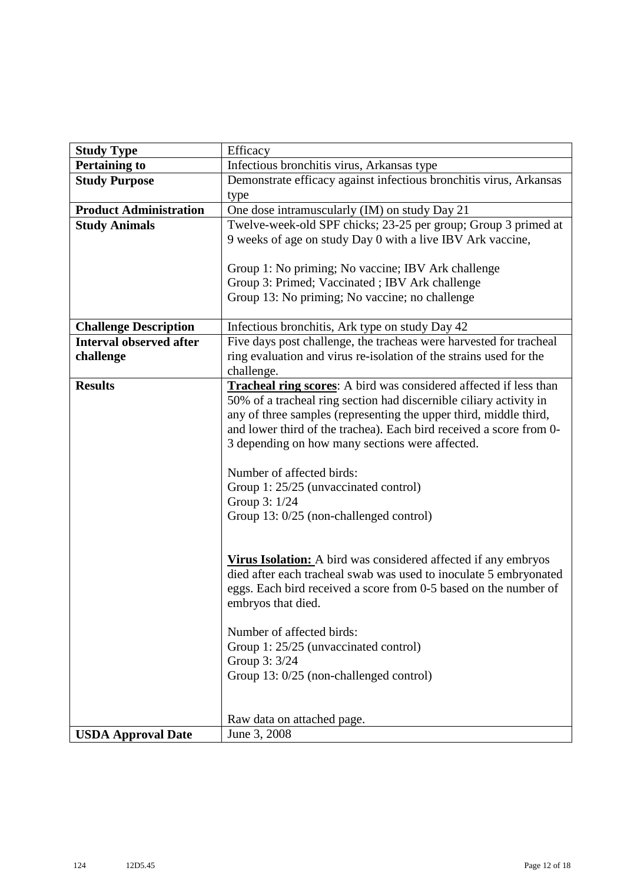| <b>Study Type</b>              | Efficacy                                                              |  |  |  |  |
|--------------------------------|-----------------------------------------------------------------------|--|--|--|--|
| <b>Pertaining to</b>           | Infectious bronchitis virus, Arkansas type                            |  |  |  |  |
| <b>Study Purpose</b>           | Demonstrate efficacy against infectious bronchitis virus, Arkansas    |  |  |  |  |
|                                | type                                                                  |  |  |  |  |
| <b>Product Administration</b>  | One dose intramuscularly (IM) on study Day 21                         |  |  |  |  |
| <b>Study Animals</b>           | Twelve-week-old SPF chicks; 23-25 per group; Group 3 primed at        |  |  |  |  |
|                                | 9 weeks of age on study Day 0 with a live IBV Ark vaccine,            |  |  |  |  |
|                                |                                                                       |  |  |  |  |
|                                | Group 1: No priming; No vaccine; IBV Ark challenge                    |  |  |  |  |
|                                | Group 3: Primed; Vaccinated; IBV Ark challenge                        |  |  |  |  |
|                                | Group 13: No priming; No vaccine; no challenge                        |  |  |  |  |
|                                |                                                                       |  |  |  |  |
| <b>Challenge Description</b>   | Infectious bronchitis, Ark type on study Day 42                       |  |  |  |  |
| <b>Interval observed after</b> | Five days post challenge, the tracheas were harvested for tracheal    |  |  |  |  |
| challenge                      | ring evaluation and virus re-isolation of the strains used for the    |  |  |  |  |
|                                | challenge.                                                            |  |  |  |  |
| <b>Results</b>                 | Tracheal ring scores: A bird was considered affected if less than     |  |  |  |  |
|                                | 50% of a tracheal ring section had discernible ciliary activity in    |  |  |  |  |
|                                | any of three samples (representing the upper third, middle third,     |  |  |  |  |
|                                | and lower third of the trachea). Each bird received a score from 0-   |  |  |  |  |
|                                | 3 depending on how many sections were affected.                       |  |  |  |  |
|                                | Number of affected birds:                                             |  |  |  |  |
|                                | Group 1: 25/25 (unvaccinated control)                                 |  |  |  |  |
|                                | Group 3: 1/24                                                         |  |  |  |  |
|                                | Group 13: 0/25 (non-challenged control)                               |  |  |  |  |
|                                |                                                                       |  |  |  |  |
|                                |                                                                       |  |  |  |  |
|                                | <b>Virus Isolation:</b> A bird was considered affected if any embryos |  |  |  |  |
|                                | died after each tracheal swab was used to inoculate 5 embryonated     |  |  |  |  |
|                                | eggs. Each bird received a score from 0-5 based on the number of      |  |  |  |  |
|                                | embryos that died.                                                    |  |  |  |  |
|                                |                                                                       |  |  |  |  |
|                                | Number of affected birds:                                             |  |  |  |  |
|                                | Group 1: 25/25 (unvaccinated control)                                 |  |  |  |  |
|                                | Group 3: 3/24                                                         |  |  |  |  |
|                                | Group 13: 0/25 (non-challenged control)                               |  |  |  |  |
|                                |                                                                       |  |  |  |  |
|                                |                                                                       |  |  |  |  |
|                                | Raw data on attached page.                                            |  |  |  |  |
| <b>USDA Approval Date</b>      | June 3, 2008                                                          |  |  |  |  |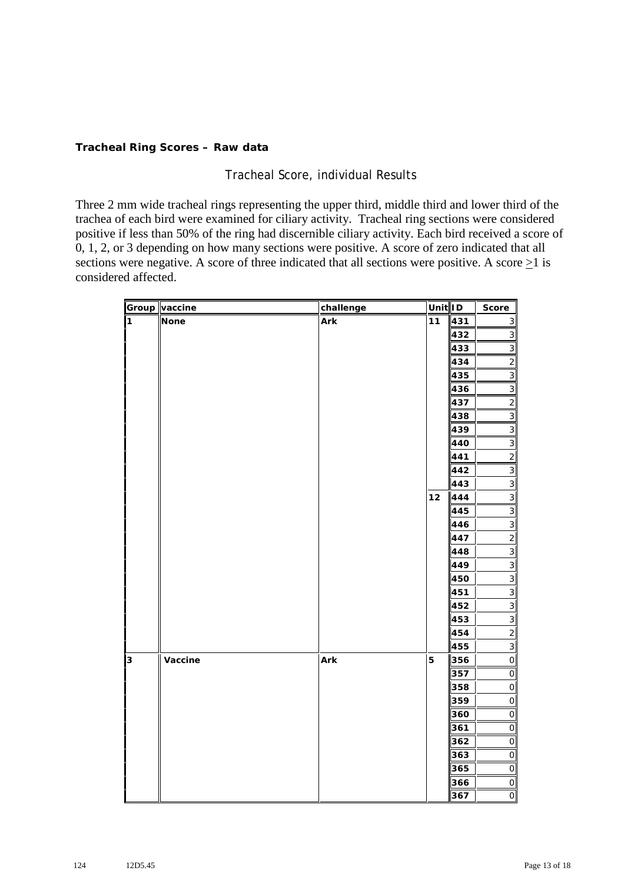#### **Tracheal Ring Scores – Raw data**

# Tracheal Score, individual Results

Three 2 mm wide tracheal rings representing the upper third, middle third and lower third of the trachea of each bird were examined for ciliary activity. Tracheal ring sections were considered positive if less than 50% of the ring had discernible ciliary activity. Each bird received a score of 0, 1, 2, or 3 depending on how many sections were positive. A score of zero indicated that all sections were negative. A score of three indicated that all sections were positive. A score  $>1$  is considered affected.

|   | Group vaccine | challenge | Unit ID |     | Score                     |
|---|---------------|-----------|---------|-----|---------------------------|
| 1 | <b>None</b>   | Ark       | 11      | 431 | $\ensuremath{\mathsf{3}}$ |
|   |               |           |         | 432 | $\ensuremath{\mathsf{3}}$ |
|   |               |           |         | 433 | $\ensuremath{\mathsf{3}}$ |
|   |               |           |         | 434 | $\mathbf{2}$              |
|   |               |           |         | 435 | $\ensuremath{\mathsf{3}}$ |
|   |               |           |         | 436 | $\ensuremath{\mathsf{3}}$ |
|   |               |           |         | 437 | $\overline{2}$            |
|   |               |           |         | 438 | $\ensuremath{\mathsf{3}}$ |
|   |               |           |         | 439 | $\overline{3}$            |
|   |               |           |         | 440 | $\mathsf 3$               |
|   |               |           |         | 441 | $\mathbf{2}$              |
|   |               |           |         | 442 | $\ensuremath{\mathsf{3}}$ |
|   |               |           |         | 443 | $\mathsf 3$               |
|   |               |           | 12      | 444 | $\mathsf 3$               |
|   |               |           |         | 445 | $\ensuremath{\mathsf{3}}$ |
|   |               |           |         | 446 | $\overline{3}$            |
|   |               |           |         | 447 | $\overline{\mathbf{c}}$   |
|   |               |           |         | 448 | $\mathsf 3$               |
|   |               |           |         | 449 | $\ensuremath{\mathsf{3}}$ |
|   |               |           |         | 450 | $\mathsf 3$               |
|   |               |           |         | 451 | $\ensuremath{\mathsf{3}}$ |
|   |               |           |         | 452 | $\ensuremath{\mathsf{3}}$ |
|   |               |           |         | 453 | $\ensuremath{\mathsf{3}}$ |
|   |               |           |         | 454 | $\overline{c}$            |
|   |               |           |         | 455 | $\ensuremath{\mathsf{3}}$ |
| 3 | Vaccine       | Ark       | 5       | 356 | $\mathsf O$               |
|   |               |           |         | 357 | $\circ$                   |
|   |               |           |         | 358 | $\mathsf{O}$              |
|   |               |           |         | 359 | $\mathsf O$               |
|   |               |           |         | 360 | $\mathsf O$               |
|   |               |           |         | 361 | $\mathsf{O}$              |
|   |               |           |         | 362 | $\mathsf{O}$              |
|   |               |           |         | 363 | $\mathsf O$               |
|   |               |           |         | 365 | $\mathsf O$               |
|   |               |           |         | 366 | $\mathsf{O}$              |
|   |               |           |         | 367 | $\mathsf O$               |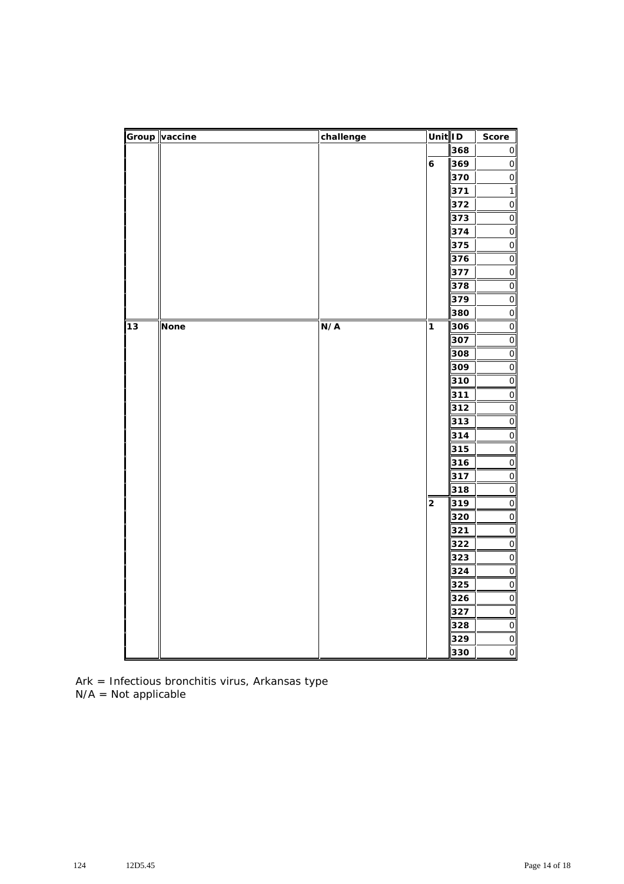|    | Group vaccine | challenge | Unit ID          |            | Score                                                              |
|----|---------------|-----------|------------------|------------|--------------------------------------------------------------------|
|    |               |           |                  | 368        | $\mathsf O$                                                        |
|    |               |           | $\boldsymbol{6}$ | 369        | $\mathsf{O}\xspace$                                                |
|    |               |           |                  | 370        | $\mathsf{O}$                                                       |
|    |               |           |                  | 371        | $\mathbf{1}$                                                       |
|    |               |           |                  | 372        | $\mathsf{O}$                                                       |
|    |               |           |                  | 373        | $\mathsf{O}$                                                       |
|    |               |           |                  | 374        | $\mathsf{O}$                                                       |
|    |               |           |                  | 375        | $\mathsf O$                                                        |
|    |               |           |                  | 376        | $\mathsf{O}\xspace$                                                |
|    |               |           |                  | 377        | $\mathsf{O}$                                                       |
|    |               |           |                  | 378        | $\mathsf O$                                                        |
|    |               |           |                  | 379        | $\mathsf{O}$                                                       |
|    |               |           |                  | 380        | $\mathsf{O}$                                                       |
| 13 | <b>None</b>   | N/A       | 1                | 306        | $\mathsf{O}$                                                       |
|    |               |           |                  | 307        | $\mathsf{O}$                                                       |
|    |               |           |                  | 308        | $\mathsf{O}$                                                       |
|    |               |           |                  | 309        | $\mathsf{O}$                                                       |
|    |               |           |                  | 310        | $\mathsf{O}$                                                       |
|    |               |           |                  | 311        | $\mathsf O$                                                        |
|    |               |           |                  | 312        | $\mathsf O$                                                        |
|    |               |           |                  | 313        | $\mathsf{O}$                                                       |
|    |               |           |                  | 314        | $\mathsf{O}$                                                       |
|    |               |           |                  | 315        | $\mathsf{O}$                                                       |
|    |               |           |                  | 316        | $\mathsf{O}$                                                       |
|    |               |           |                  | 317        | $\mathsf{O}$                                                       |
|    |               |           |                  | 318        | $\mathsf{O}$                                                       |
|    |               |           | 2                | 319        | $\mathsf{O}\xspace$                                                |
|    |               |           |                  | 320        | $\mathsf O$                                                        |
|    |               |           |                  | 321        | $\mathsf O$                                                        |
|    |               |           |                  | 322<br>323 | $\mathsf{O}$<br>$\overline{O}$                                     |
|    |               |           |                  | 324        | $\mathsf{O}$                                                       |
|    |               |           |                  | 325        | $\mathsf{O}$                                                       |
|    |               |           |                  | 326        | $\mathsf{O}$                                                       |
|    |               |           |                  | 327        | $\mathsf{O}$                                                       |
|    |               |           |                  | 328        | $\mathsf{O}$                                                       |
|    |               |           |                  | 329        | $\mathsf O$                                                        |
|    |               |           |                  | 330        | $\mathsf{O}\hspace{-.1ex}\rule{.1ex}{.1ex}\hspace{.1ex}\mathsf{I}$ |
|    |               |           |                  |            |                                                                    |

Ark = Infectious bronchitis virus, Arkansas type N/A = Not applicable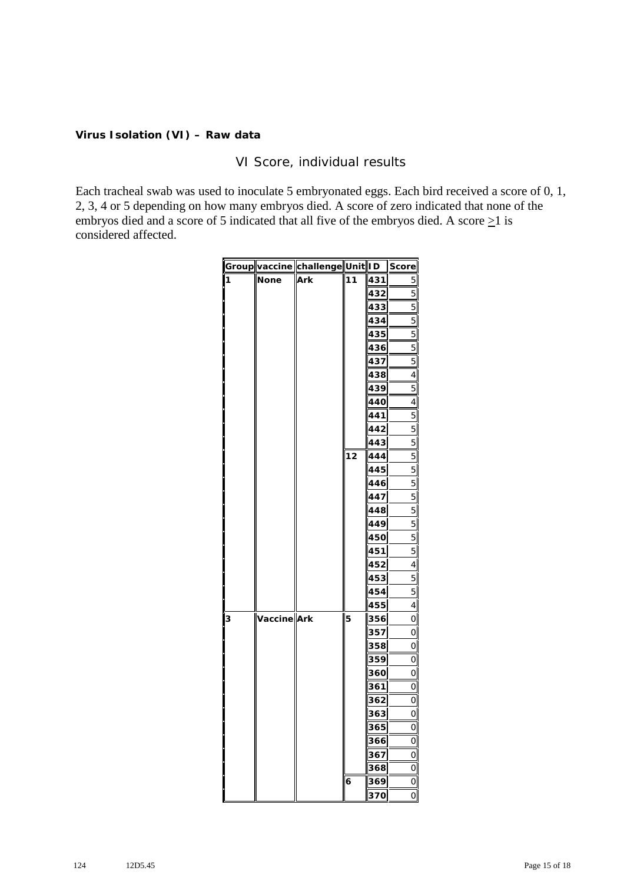#### **Virus Isolation (VI) – Raw data**

## VI Score, individual results

Each tracheal swab was used to inoculate 5 embryonated eggs. Each bird received a score of 0, 1, 2, 3, 4 or 5 depending on how many embryos died. A score of zero indicated that none of the embryos died and a score of 5 indicated that all five of the embryos died. A score  $\geq$ 1 is considered affected.

|   |             | Group vaccine challenge Unit ID Score |    |     |                |
|---|-------------|---------------------------------------|----|-----|----------------|
| 1 | None        | Ark                                   | 11 | 431 | 5              |
|   |             |                                       |    | 432 | 5              |
|   |             |                                       |    | 433 | $\overline{5}$ |
|   |             |                                       |    | 434 | 5              |
|   |             |                                       |    | 435 | 5              |
|   |             |                                       |    | 436 | 5              |
|   |             |                                       |    | 437 | 5              |
|   |             |                                       |    | 438 | 4              |
|   |             |                                       |    | 439 | 5              |
|   |             |                                       |    | 440 | 4              |
|   |             |                                       |    | 441 | 5              |
|   |             |                                       |    | 442 | 5              |
|   |             |                                       |    | 443 | 5              |
|   |             |                                       | 12 | 444 | 5              |
|   |             |                                       |    | 445 | 5              |
|   |             |                                       |    | 446 | 5              |
|   |             |                                       |    | 447 | 5              |
|   |             |                                       |    | 448 | 5              |
|   |             |                                       |    | 449 | 5              |
|   |             |                                       |    | 450 | 5              |
|   |             |                                       |    | 451 | 5              |
|   |             |                                       |    | 452 | 4              |
|   |             |                                       |    | 453 | 5              |
|   |             |                                       |    | 454 | 5              |
|   |             |                                       |    | 455 | 4              |
| 3 | Vaccine Ark |                                       | 5  | 356 | O              |
|   |             |                                       |    | 357 | 0              |
|   |             |                                       |    | 358 | 0              |
|   |             |                                       |    | 359 | 0              |
|   |             |                                       |    | 360 | 0              |
|   |             |                                       |    | 361 | 0              |
|   |             |                                       |    | 362 | 0              |
|   |             |                                       |    | 363 | 0              |
|   |             |                                       |    | 365 | 0              |
|   |             |                                       |    | 366 | 0              |
|   |             |                                       |    | 367 | 0              |
|   |             |                                       |    | 368 | $\mathbf 0$    |
|   |             |                                       | 6  | 369 | 0              |
|   |             |                                       |    | 370 | O              |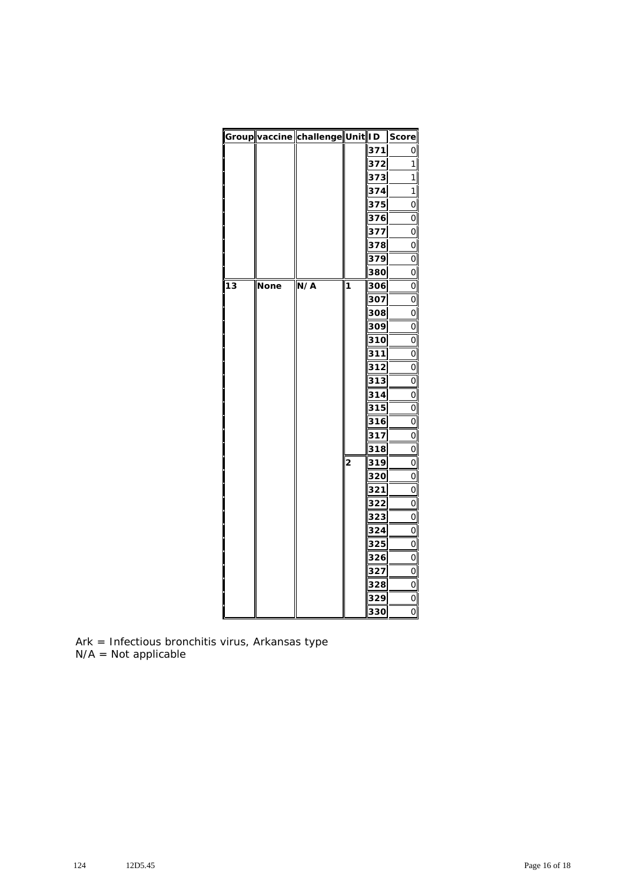|    |      | Group vaccine challenge Unit ID |                |     | Score          |
|----|------|---------------------------------|----------------|-----|----------------|
|    |      |                                 |                | 371 | 0              |
|    |      |                                 |                | 372 | 1              |
|    |      |                                 |                | 373 | 1              |
|    |      |                                 |                | 374 | 1              |
|    |      |                                 |                | 375 | 0              |
|    |      |                                 |                | 376 | 0              |
|    |      |                                 |                | 377 | 0              |
|    |      |                                 |                | 378 | 0              |
|    |      |                                 |                | 379 | 0              |
|    |      |                                 |                | 380 | 0              |
| 13 | None | N/A                             | 1              | 306 | 0              |
|    |      |                                 |                | 307 | $\overline{O}$ |
|    |      |                                 |                | 308 | 0              |
|    |      |                                 |                | 309 | 0              |
|    |      |                                 |                | 310 | 0              |
|    |      |                                 |                | 311 | 0              |
|    |      |                                 |                | 312 | 0              |
|    |      |                                 |                | 313 | 0              |
|    |      |                                 |                | 314 | 0              |
|    |      |                                 |                | 315 | O              |
|    |      |                                 |                | 316 | 0              |
|    |      |                                 |                | 317 | 0              |
|    |      |                                 |                | 318 | 0              |
|    |      |                                 | $\overline{2}$ | 319 | 0              |
|    |      |                                 |                | 320 | 0              |
|    |      |                                 |                | 321 | 0              |
|    |      |                                 |                | 322 | 0              |
|    |      |                                 |                | 323 | $\overline{O}$ |
|    |      |                                 |                | 324 | 0              |
|    |      |                                 |                | 325 | 0              |
|    |      |                                 |                | 326 | 0              |
|    |      |                                 |                | 327 | 0              |
|    |      |                                 |                | 328 | 0              |
|    |      |                                 |                | 329 | 0              |
|    |      |                                 |                | 330 | O              |

Ark = Infectious bronchitis virus, Arkansas type N/A = Not applicable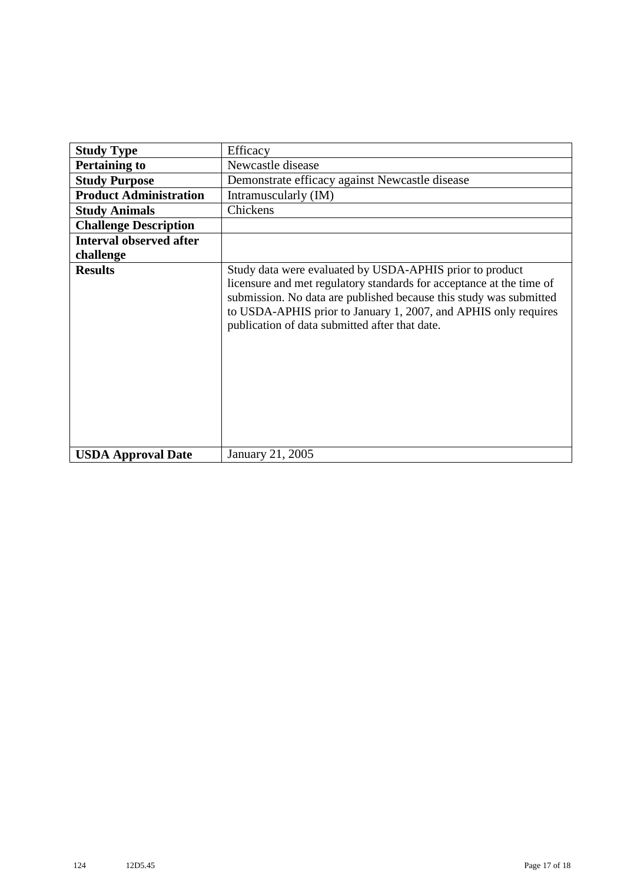| <b>Study Type</b>              | Efficacy                                                                                                                                                                                                                                                                                                                    |  |  |
|--------------------------------|-----------------------------------------------------------------------------------------------------------------------------------------------------------------------------------------------------------------------------------------------------------------------------------------------------------------------------|--|--|
| <b>Pertaining to</b>           | Newcastle disease                                                                                                                                                                                                                                                                                                           |  |  |
| <b>Study Purpose</b>           | Demonstrate efficacy against Newcastle disease                                                                                                                                                                                                                                                                              |  |  |
| <b>Product Administration</b>  | Intramuscularly (IM)                                                                                                                                                                                                                                                                                                        |  |  |
| <b>Study Animals</b>           | Chickens                                                                                                                                                                                                                                                                                                                    |  |  |
| <b>Challenge Description</b>   |                                                                                                                                                                                                                                                                                                                             |  |  |
| <b>Interval observed after</b> |                                                                                                                                                                                                                                                                                                                             |  |  |
| challenge                      |                                                                                                                                                                                                                                                                                                                             |  |  |
| <b>Results</b>                 | Study data were evaluated by USDA-APHIS prior to product<br>licensure and met regulatory standards for acceptance at the time of<br>submission. No data are published because this study was submitted<br>to USDA-APHIS prior to January 1, 2007, and APHIS only requires<br>publication of data submitted after that date. |  |  |
| <b>USDA Approval Date</b>      | January 21, 2005                                                                                                                                                                                                                                                                                                            |  |  |